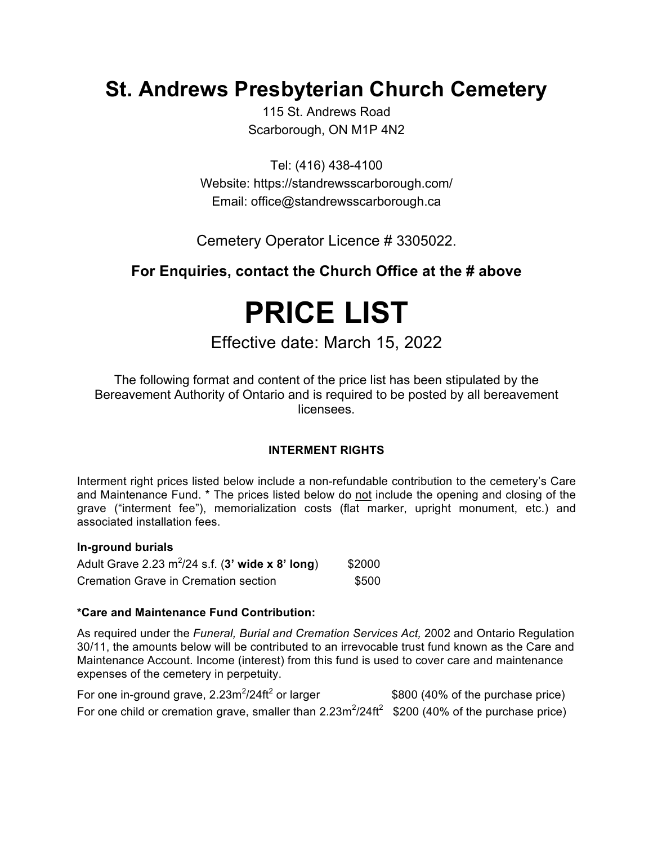# **St. Andrews Presbyterian Church Cemetery**

115 St. Andrews Road Scarborough, ON M1P 4N2

Tel: (416) 438-4100 Website: https://standrewsscarborough.com/ Email: office@standrewsscarborough.ca

Cemetery Operator Licence # 3305022.

# **For Enquiries, contact the Church Office at the # above**

# **PRICE LIST**

Effective date: March 15, 2022

The following format and content of the price list has been stipulated by the Bereavement Authority of Ontario and is required to be posted by all bereavement licensees.

### **INTERMENT RIGHTS**

Interment right prices listed below include a non-refundable contribution to the cemetery's Care and Maintenance Fund. \* The prices listed below do not include the opening and closing of the grave ("interment fee"), memorialization costs (flat marker, upright monument, etc.) and associated installation fees.

#### **In-ground burials**

| Adult Grave 2.23 $m^2/24$ s.f. (3' wide x 8' long) | \$2000 |
|----------------------------------------------------|--------|
| Cremation Grave in Cremation section               | \$500  |

#### **\*Care and Maintenance Fund Contribution:**

As required under the *Funeral, Burial and Cremation Services Act,* 2002 and Ontario Regulation 30/11, the amounts below will be contributed to an irrevocable trust fund known as the Care and Maintenance Account. Income (interest) from this fund is used to cover care and maintenance expenses of the cemetery in perpetuity.

| For one in-ground grave, $2.23m^2/24ft^2$ or larger                                               | \$800 (40% of the purchase price) |
|---------------------------------------------------------------------------------------------------|-----------------------------------|
| For one child or cremation grave, smaller than $2.23m^2/24ft^2$ \$200 (40% of the purchase price) |                                   |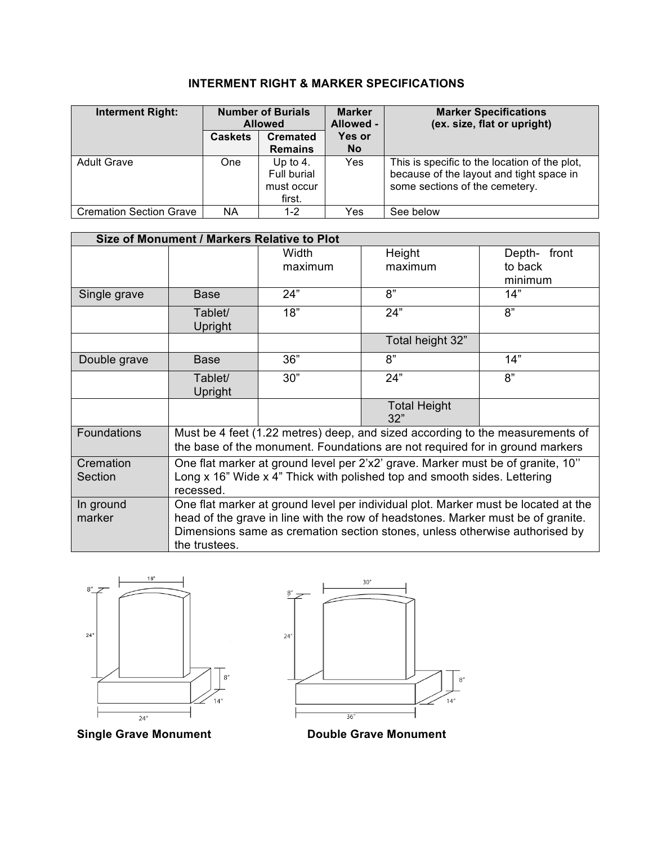# **INTERMENT RIGHT & MARKER SPECIFICATIONS**

| <b>Interment Right:</b>        | <b>Number of Burials</b><br><b>Allowed</b> |                 |               |                                               | <b>Marker</b><br>Allowed - | <b>Marker Specifications</b><br>(ex. size, flat or upright) |
|--------------------------------|--------------------------------------------|-----------------|---------------|-----------------------------------------------|----------------------------|-------------------------------------------------------------|
|                                | <b>Caskets</b>                             | <b>Cremated</b> | <b>Yes or</b> |                                               |                            |                                                             |
|                                |                                            | <b>Remains</b>  | <b>No</b>     |                                               |                            |                                                             |
| <b>Adult Grave</b>             | One                                        | Up to $4.$      | Yes           | This is specific to the location of the plot, |                            |                                                             |
|                                |                                            | Full burial     |               | because of the layout and tight space in      |                            |                                                             |
|                                |                                            | must occur      |               | some sections of the cemetery.                |                            |                                                             |
|                                |                                            | first.          |               |                                               |                            |                                                             |
| <b>Cremation Section Grave</b> | ΝA                                         | $1 - 2$         | Yes           | See below                                     |                            |                                                             |

| Size of Monument / Markers Relative to Plot |                                                                                                                                                                        |         |                                                                               |             |  |
|---------------------------------------------|------------------------------------------------------------------------------------------------------------------------------------------------------------------------|---------|-------------------------------------------------------------------------------|-------------|--|
|                                             |                                                                                                                                                                        | Width   | Height                                                                        | Depth-front |  |
|                                             |                                                                                                                                                                        | maximum | maximum                                                                       | to back     |  |
|                                             |                                                                                                                                                                        |         |                                                                               | minimum     |  |
| Single grave                                | <b>Base</b>                                                                                                                                                            | 24"     | 8"                                                                            | 14"         |  |
|                                             | Tablet/                                                                                                                                                                | 18"     | 24"                                                                           | 8"          |  |
|                                             | Upright                                                                                                                                                                |         |                                                                               |             |  |
|                                             |                                                                                                                                                                        |         | Total height 32"                                                              |             |  |
| Double grave                                | <b>Base</b>                                                                                                                                                            | 36"     | 8"                                                                            | 14"         |  |
|                                             | Tablet/                                                                                                                                                                | 30"     | 24"                                                                           | 8"          |  |
|                                             | Upright                                                                                                                                                                |         |                                                                               |             |  |
|                                             |                                                                                                                                                                        |         | <b>Total Height</b><br>32"                                                    |             |  |
| <b>Foundations</b>                          |                                                                                                                                                                        |         | Must be 4 feet (1.22 metres) deep, and sized according to the measurements of |             |  |
|                                             | the base of the monument. Foundations are not required for in ground markers                                                                                           |         |                                                                               |             |  |
| Cremation                                   | One flat marker at ground level per 2'x2' grave. Marker must be of granite, 10"                                                                                        |         |                                                                               |             |  |
| Section                                     | Long x 16" Wide x 4" Thick with polished top and smooth sides. Lettering<br>recessed.                                                                                  |         |                                                                               |             |  |
| In ground                                   |                                                                                                                                                                        |         |                                                                               |             |  |
| marker                                      | One flat marker at ground level per individual plot. Marker must be located at the<br>head of the grave in line with the row of headstones. Marker must be of granite. |         |                                                                               |             |  |
|                                             | Dimensions same as cremation section stones, unless otherwise authorised by                                                                                            |         |                                                                               |             |  |
|                                             | the trustees.                                                                                                                                                          |         |                                                                               |             |  |
|                                             |                                                                                                                                                                        |         |                                                                               |             |  |





**Single Grave Monument Double Grave Monument**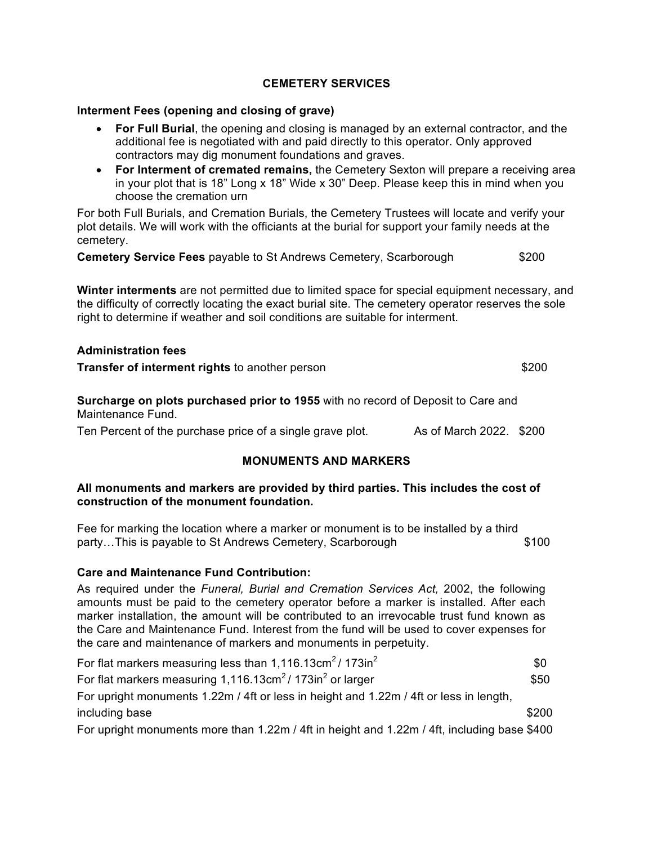#### **CEMETERY SERVICES**

#### **Interment Fees (opening and closing of grave)**

- **For Full Burial**, the opening and closing is managed by an external contractor, and the additional fee is negotiated with and paid directly to this operator. Only approved contractors may dig monument foundations and graves.
- **For Interment of cremated remains,** the Cemetery Sexton will prepare a receiving area in your plot that is 18" Long x 18" Wide x 30" Deep. Please keep this in mind when you choose the cremation urn

For both Full Burials, and Cremation Burials, the Cemetery Trustees will locate and verify your plot details. We will work with the officiants at the burial for support your family needs at the cemetery.

**Cemetery Service Fees** payable to St Andrews Cemetery, Scarborough\$200

**Winter interments** are not permitted due to limited space for special equipment necessary, and the difficulty of correctly locating the exact burial site. The cemetery operator reserves the sole right to determine if weather and soil conditions are suitable for interment.

#### **Administration fees**

**Transfer of interment rights** to another person **\$200** \$200

**Surcharge on plots purchased prior to 1955** with no record of Deposit to Care and Maintenance Fund.

Ten Percent of the purchase price of a single grave plot. As of March 2022. \$200

#### **MONUMENTS AND MARKERS**

#### **All monuments and markers are provided by third parties. This includes the cost of construction of the monument foundation.**

Fee for marking the location where a marker or monument is to be installed by a third party…This is payable to St Andrews Cemetery, Scarborough  $$100$ 

#### **Care and Maintenance Fund Contribution:**

As required under the *Funeral, Burial and Cremation Services Act,* 2002, the following amounts must be paid to the cemetery operator before a marker is installed. After each marker installation, the amount will be contributed to an irrevocable trust fund known as the Care and Maintenance Fund. Interest from the fund will be used to cover expenses for the care and maintenance of markers and monuments in perpetuity.

| For flat markers measuring less than $1,116.13 \text{cm}^2/173 \text{in}^2$            | \$0   |
|----------------------------------------------------------------------------------------|-------|
| For flat markers measuring $1,116.13 \text{cm}^2/173 \text{in}^2$ or larger            | \$50  |
| For upright monuments 1.22m / 4ft or less in height and 1.22m / 4ft or less in length, |       |
| including base                                                                         | \$200 |
|                                                                                        |       |

For upright monuments more than 1.22m / 4ft in height and 1.22m / 4ft, including base \$400